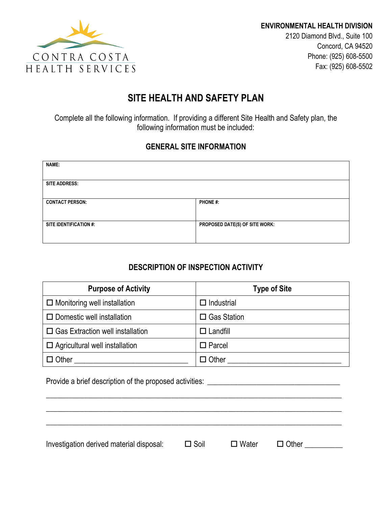

# **SITE HEALTH AND SAFETY PLAN**

Complete all the following information. If providing a different Site Health and Safety plan, the following information must be included:

### **GENERAL SITE INFORMATION**

| NAME:                  |                                |
|------------------------|--------------------------------|
|                        |                                |
| <b>SITE ADDRESS:</b>   |                                |
|                        |                                |
| <b>CONTACT PERSON:</b> | <b>PHONE#:</b>                 |
|                        |                                |
|                        |                                |
| SITE IDENTIFICATION #: | PROPOSED DATE(S) OF SITE WORK: |
|                        |                                |
|                        |                                |

## **DESCRIPTION OF INSPECTION ACTIVITY**

| <b>Purpose of Activity</b>              | <b>Type of Site</b>  |
|-----------------------------------------|----------------------|
| $\Box$ Monitoring well installation     | $\square$ Industrial |
| $\Box$ Domestic well installation       | $\Box$ Gas Station   |
| $\Box$ Gas Extraction well installation | $\Box$ Landfill      |
| $\Box$ Agricultural well installation   | $\Box$ Parcel        |
| $\Box$ Other                            | $\Box$ Other         |

Provide a brief description of the proposed activities: \_\_\_\_\_\_\_\_\_\_\_\_\_\_\_\_\_\_\_\_\_\_\_\_\_\_\_\_\_\_\_\_\_\_\_

Investigation derived material disposal:  $\square$  Soil  $\square$  Water  $\square$  Other  $\square$ 

\_\_\_\_\_\_\_\_\_\_\_\_\_\_\_\_\_\_\_\_\_\_\_\_\_\_\_\_\_\_\_\_\_\_\_\_\_\_\_\_\_\_\_\_\_\_\_\_\_\_\_\_\_\_\_\_\_\_\_\_\_\_\_\_\_\_\_\_\_\_\_\_\_\_\_\_\_\_

\_\_\_\_\_\_\_\_\_\_\_\_\_\_\_\_\_\_\_\_\_\_\_\_\_\_\_\_\_\_\_\_\_\_\_\_\_\_\_\_\_\_\_\_\_\_\_\_\_\_\_\_\_\_\_\_\_\_\_\_\_\_\_\_\_\_\_\_\_\_\_\_\_\_\_\_\_\_

\_\_\_\_\_\_\_\_\_\_\_\_\_\_\_\_\_\_\_\_\_\_\_\_\_\_\_\_\_\_\_\_\_\_\_\_\_\_\_\_\_\_\_\_\_\_\_\_\_\_\_\_\_\_\_\_\_\_\_\_\_\_\_\_\_\_\_\_\_\_\_\_\_\_\_\_\_\_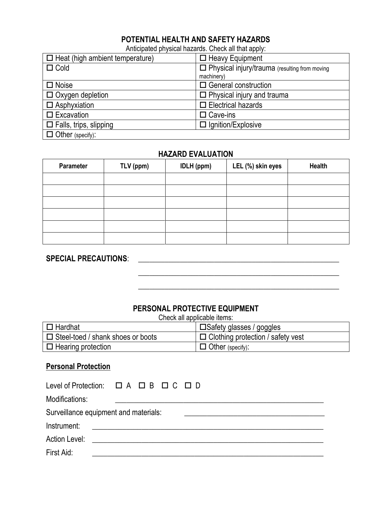## **POTENTIAL HEALTH AND SAFETY HAZARDS**

Anticipated physical hazards. Check all that apply:

| $\Box$ Heat (high ambient temperature) | $\Box$ Heavy Equipment                          |
|----------------------------------------|-------------------------------------------------|
| $\Box$ Cold                            | □ Physical injury/trauma (resulting from moving |
|                                        | machinery)                                      |
| $\Box$ Noise                           | $\Box$ General construction                     |
| $\Box$ Oxygen depletion                | $\Box$ Physical injury and trauma               |
| $\Box$ Asphyxiation                    | $\Box$ Electrical hazards                       |
| $\square$ Excavation                   | $\Box$ Cave-ins                                 |
| $\Box$ Falls, trips, slipping          | $\Box$ Ignition/Explosive                       |
| $\Box$ Other (specify):                |                                                 |

### **HAZARD EVALUATION**

| Parameter | TLV (ppm) | <b>IDLH</b> (ppm) | LEL (%) skin eyes | <b>Health</b> |
|-----------|-----------|-------------------|-------------------|---------------|
|           |           |                   |                   |               |
|           |           |                   |                   |               |
|           |           |                   |                   |               |
|           |           |                   |                   |               |
|           |           |                   |                   |               |
|           |           |                   |                   |               |

## **SPECIAL PRECAUTIONS**: \_\_\_\_\_\_\_\_\_\_\_\_\_\_\_\_\_\_\_\_\_\_\_\_\_\_\_\_\_\_\_\_\_\_\_\_\_\_\_\_\_\_\_\_\_\_\_\_\_\_\_\_\_

#### **PERSONAL PROTECTIVE EQUIPMENT**

\_\_\_\_\_\_\_\_\_\_\_\_\_\_\_\_\_\_\_\_\_\_\_\_\_\_\_\_\_\_\_\_\_\_\_\_\_\_\_\_\_\_\_\_\_\_\_\_\_\_\_\_\_

\_\_\_\_\_\_\_\_\_\_\_\_\_\_\_\_\_\_\_\_\_\_\_\_\_\_\_\_\_\_\_\_\_\_\_\_\_\_\_\_\_\_\_\_\_\_\_\_\_\_\_\_\_

Check all applicable items:

| $\Box$ Hardhat                           | $\vert$ $\Box$ Safety glasses / goggles  |
|------------------------------------------|------------------------------------------|
| $\Box$ Steel-toed / shank shoes or boots | $\Box$ Clothing protection / safety vest |
| $\Box$ Hearing protection                | $\Box$ Other (specify):                  |

#### **Personal Protection**

|                | Level of Protection: $\Box A \Box B \Box C \Box D$ |
|----------------|----------------------------------------------------|
| Modifications: |                                                    |
|                | Surveillance equipment and materials:              |
| Instrument:    | <u> 1980 - Andrea Andrew Maria (b. 1980)</u>       |
|                | Action Level: <b>Action</b> Level <b>Action</b>    |
| First Aid:     |                                                    |